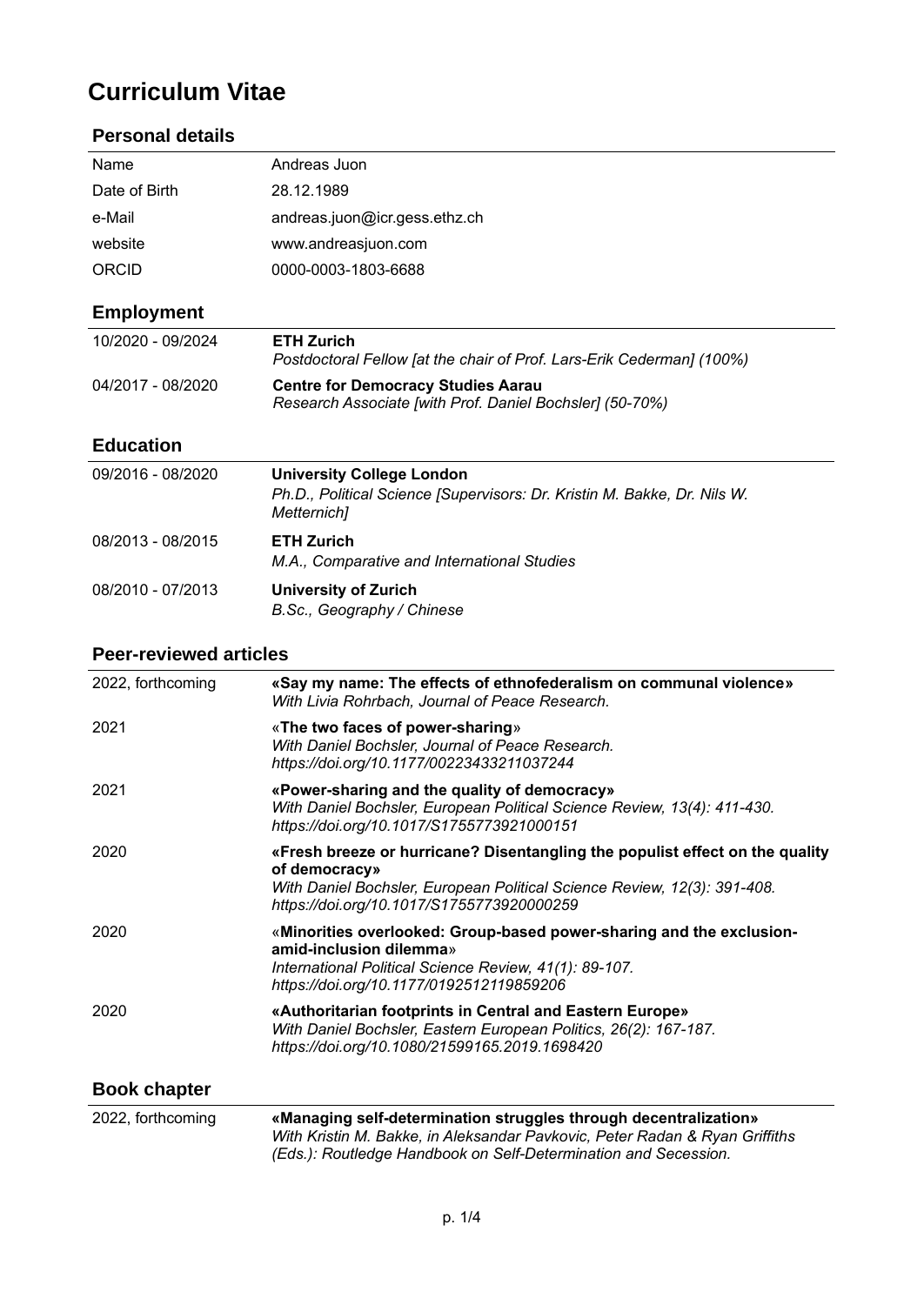# **Curriculum Vitae**

#### **Personal details**

| Name              | Andreas Juon                                                                                                                |
|-------------------|-----------------------------------------------------------------------------------------------------------------------------|
| Date of Birth     | 28.12.1989                                                                                                                  |
| e-Mail            | andreas.juon@icr.gess.ethz.ch                                                                                               |
| website           | www.andreasjuon.com                                                                                                         |
| ORCID             | 0000-0003-1803-6688                                                                                                         |
| <b>Employment</b> |                                                                                                                             |
| 10/2020 - 09/2024 | <b>ETH Zurich</b><br>Postdoctoral Fellow [at the chair of Prof. Lars-Erik Cederman] (100%)                                  |
| 04/2017 - 08/2020 | <b>Centre for Democracy Studies Aarau</b><br>Research Associate [with Prof. Daniel Bochsler] (50-70%)                       |
| <b>Education</b>  |                                                                                                                             |
| 09/2016 - 08/2020 | <b>University College London</b><br>Ph.D., Political Science [Supervisors: Dr. Kristin M. Bakke, Dr. Nils W.<br>Metternich] |
| 08/2013 - 08/2015 | <b>ETH Zurich</b><br>M.A., Comparative and International Studies                                                            |
| 08/2010 - 07/2013 | <b>University of Zurich</b><br>B.Sc., Geography / Chinese                                                                   |

#### **Peer-reviewed articles**

| 2022, forthcoming   | «Say my name: The effects of ethnofederalism on communal violence»<br>With Livia Rohrbach, Journal of Peace Research.                                                                                                  |
|---------------------|------------------------------------------------------------------------------------------------------------------------------------------------------------------------------------------------------------------------|
| 2021                | «The two faces of power-sharing»<br>With Daniel Bochsler, Journal of Peace Research.<br>https://doi.org/10.1177/00223433211037244                                                                                      |
| 2021                | «Power-sharing and the quality of democracy»<br>With Daniel Bochsler, European Political Science Review, 13(4): 411-430.<br>https://doi.org/10.1017/S1755773921000151                                                  |
| 2020                | «Fresh breeze or hurricane? Disentangling the populist effect on the quality<br>of democracy»<br>With Daniel Bochsler, European Political Science Review, 12(3): 391-408.<br>https://doi.org/10.1017/S1755773920000259 |
| 2020                | «Minorities overlooked: Group-based power-sharing and the exclusion-<br>amid-inclusion dilemma»<br>International Political Science Review, 41(1): 89-107.<br>https://doi.org/10.1177/0192512119859206                  |
| 2020                | «Authoritarian footprints in Central and Eastern Europe»<br>With Daniel Bochsler, Eastern European Politics, 26(2): 167-187.<br>https://doi.org/10.1080/21599165.2019.1698420                                          |
| <b>Book chapter</b> |                                                                                                                                                                                                                        |
| 2022, forthcoming   | «Managing self-determination struggles through decentralization»<br>With Kristin M. Bakke, in Aleksandar Pavkovic, Peter Radan & Ryan Griffiths                                                                        |

*(Eds.): Routledge Handbook on Self-Determination and Secession.*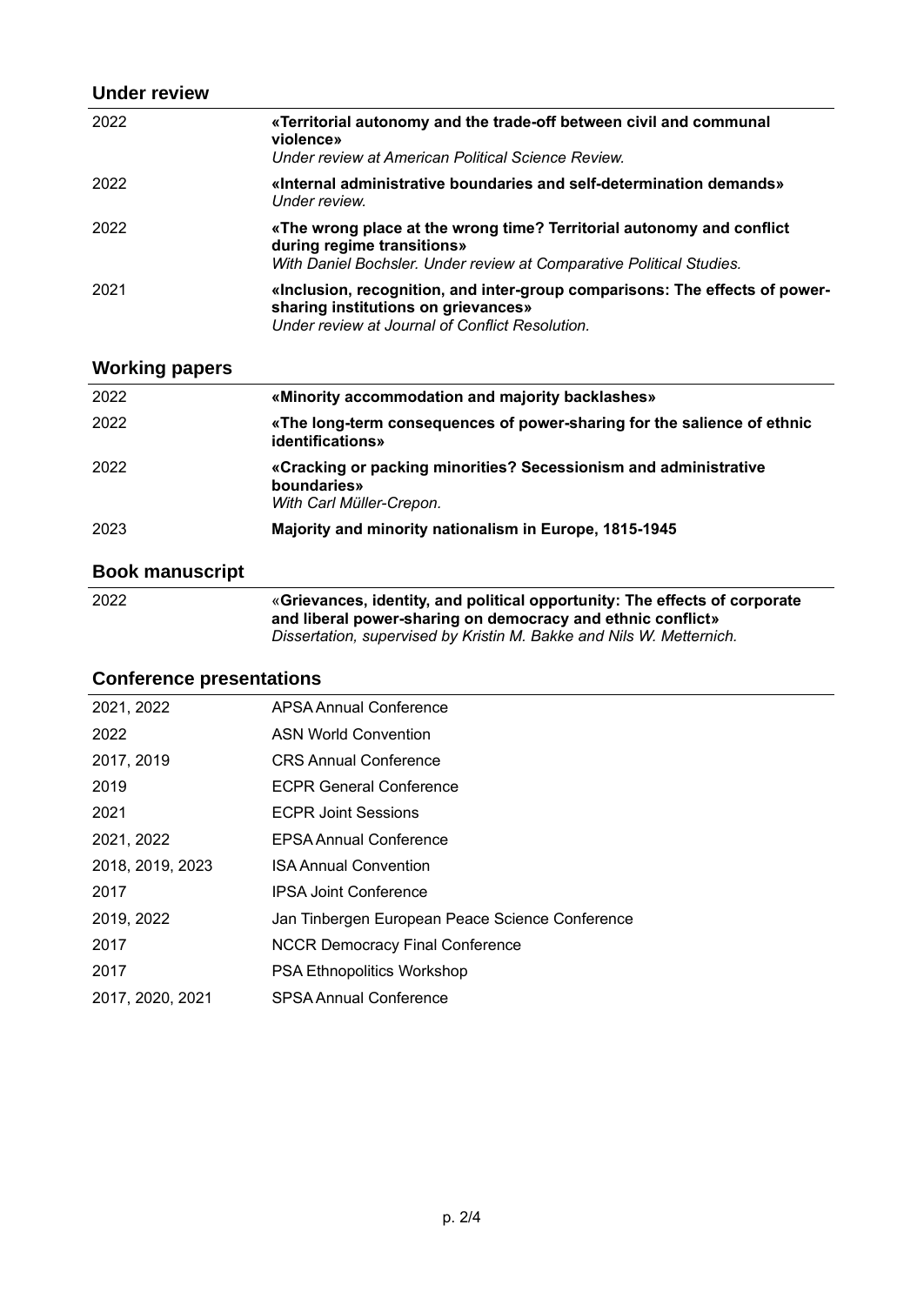#### **Under review**

| 2022 | «Territorial autonomy and the trade-off between civil and communal<br>violence»<br>Under review at American Political Science Review.                                       |
|------|-----------------------------------------------------------------------------------------------------------------------------------------------------------------------------|
| 2022 | «Internal administrative boundaries and self-determination demands»<br>Under review.                                                                                        |
| 2022 | «The wrong place at the wrong time? Territorial autonomy and conflict<br>during regime transitions»<br>With Daniel Bochsler. Under review at Comparative Political Studies. |
| 2021 | «Inclusion, recognition, and inter-group comparisons: The effects of power-<br>sharing institutions on grievances»<br>Under review at Journal of Conflict Resolution.       |

### **Working papers**

| 2022 | «Minority accommodation and majority backlashes»                                                            |
|------|-------------------------------------------------------------------------------------------------------------|
| 2022 | «The long-term consequences of power-sharing for the salience of ethnic<br>identifications»                 |
| 2022 | «Cracking or packing minorities? Secessionism and administrative<br>boundaries»<br>With Carl Müller-Crepon. |
| 2023 | Majority and minority nationalism in Europe, 1815-1945                                                      |
|      |                                                                                                             |

### **Book manuscript**

| «Grievances, identity, and political opportunity: The effects of corporate |
|----------------------------------------------------------------------------|
| and liberal power-sharing on democracy and ethnic conflict»                |
| Dissertation, supervised by Kristin M. Bakke and Nils W. Metternich.       |
|                                                                            |

## **Conference presentations**

| 2021, 2022       | APSA Annual Conference                          |
|------------------|-------------------------------------------------|
| 2022             | <b>ASN World Convention</b>                     |
| 2017, 2019       | <b>CRS Annual Conference</b>                    |
| 2019             | <b>ECPR General Conference</b>                  |
| 2021             | <b>ECPR Joint Sessions</b>                      |
| 2021, 2022       | <b>EPSA Annual Conference</b>                   |
| 2018, 2019, 2023 | <b>ISA Annual Convention</b>                    |
| 2017             | <b>IPSA Joint Conference</b>                    |
| 2019, 2022       | Jan Tinbergen European Peace Science Conference |
| 2017             | <b>NCCR Democracy Final Conference</b>          |
| 2017             | <b>PSA Ethnopolitics Workshop</b>               |
| 2017, 2020, 2021 | <b>SPSA Annual Conference</b>                   |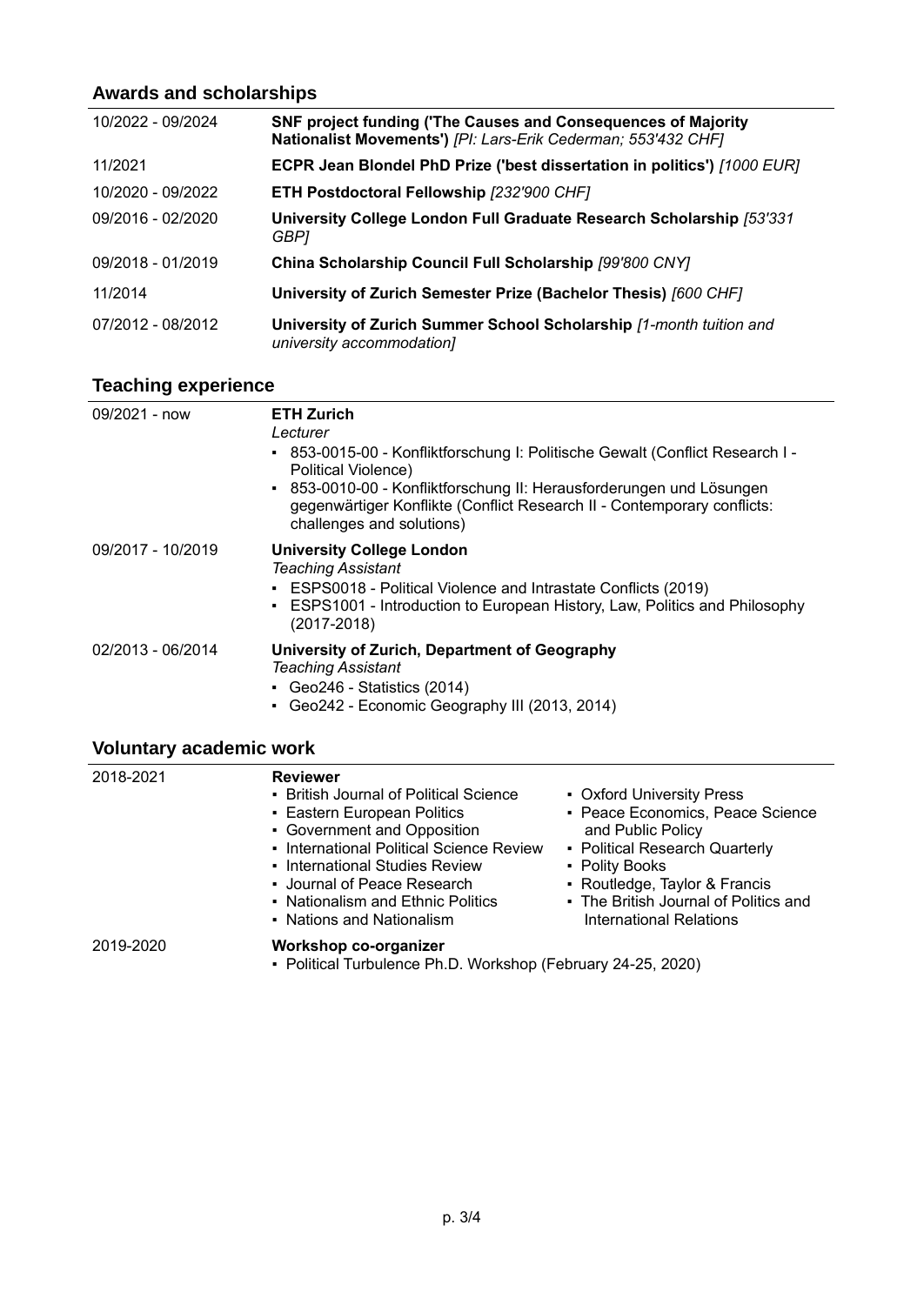### **Awards and scholarships**

| 10/2022 - 09/2024 | SNF project funding ('The Causes and Consequences of Majority<br>Nationalist Movements') [PI: Lars-Erik Cederman; 553'432 CHF] |
|-------------------|--------------------------------------------------------------------------------------------------------------------------------|
| 11/2021           | ECPR Jean Blondel PhD Prize ('best dissertation in politics') [1000 EUR]                                                       |
| 10/2020 - 09/2022 | <b>ETH Postdoctoral Fellowship [232'900 CHF]</b>                                                                               |
| 09/2016 - 02/2020 | University College London Full Graduate Research Scholarship [53'331<br>GBP1                                                   |
| 09/2018 - 01/2019 | China Scholarship Council Full Scholarship [99'800 CNY]                                                                        |
| 11/2014           | University of Zurich Semester Prize (Bachelor Thesis) [600 CHF]                                                                |
| 07/2012 - 08/2012 | University of Zurich Summer School Scholarship [1-month tuition and<br>university accommodation]                               |

### **Teaching experience**

| 09/2021 - now     | <b>ETH Zurich</b><br>Lecturer<br>853-0015-00 - Konfliktforschung I: Politische Gewalt (Conflict Research I -<br>٠<br>Political Violence)<br>• 853-0010-00 - Konfliktforschung II: Herausforderungen und Lösungen<br>gegenwärtiger Konflikte (Conflict Research II - Contemporary conflicts:<br>challenges and solutions) |
|-------------------|--------------------------------------------------------------------------------------------------------------------------------------------------------------------------------------------------------------------------------------------------------------------------------------------------------------------------|
| 09/2017 - 10/2019 | <b>University College London</b><br><b>Teaching Assistant</b><br>• ESPS0018 - Political Violence and Intrastate Conflicts (2019)<br>ESPS1001 - Introduction to European History, Law, Politics and Philosophy<br>٠<br>$(2017 - 2018)$                                                                                    |
| 02/2013 - 06/2014 | University of Zurich, Department of Geography<br><b>Teaching Assistant</b><br>Geo246 - Statistics $(2014)$<br>• Geo242 - Economic Geography III (2013, 2014)                                                                                                                                                             |

# **Voluntary academic work**

| 2018-2021 | <b>Reviewer</b><br>• British Journal of Political Science<br>• Eastern European Politics<br>• Government and Opposition<br>• International Political Science Review<br>• International Studies Review<br>• Journal of Peace Research<br>• Nationalism and Ethnic Politics<br>• Nations and Nationalism | • Oxford University Press<br>• Peace Economics, Peace Science<br>and Public Policy<br>• Political Research Quarterly<br>• Polity Books<br>• Routledge, Taylor & Francis<br>• The British Journal of Politics and<br>International Relations |
|-----------|--------------------------------------------------------------------------------------------------------------------------------------------------------------------------------------------------------------------------------------------------------------------------------------------------------|---------------------------------------------------------------------------------------------------------------------------------------------------------------------------------------------------------------------------------------------|
| 2019-2020 | Workshop co-organizer<br>• Political Turbulence Ph.D. Workshop (February 24-25, 2020)                                                                                                                                                                                                                  |                                                                                                                                                                                                                                             |